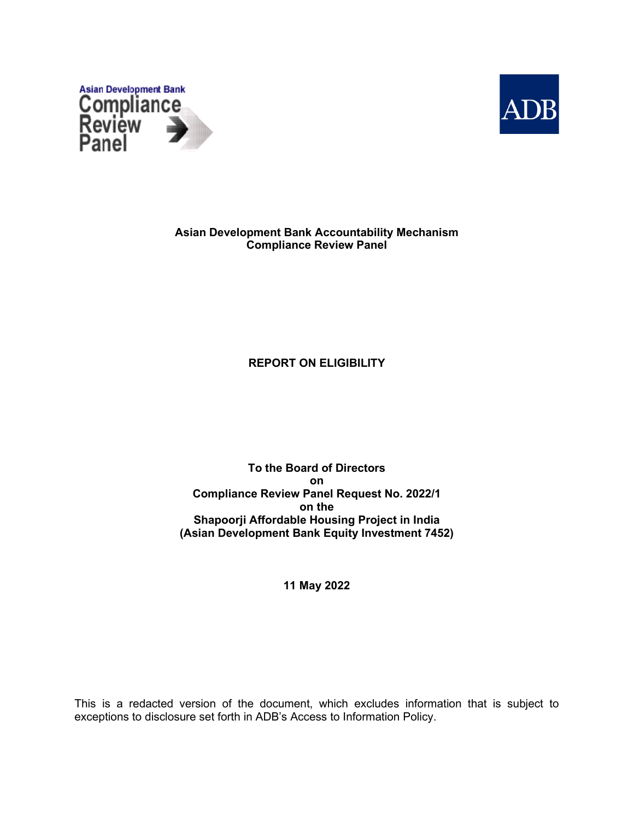



**Asian Development Bank Accountability Mechanism Compliance Review Panel**

# **REPORT ON ELIGIBILITY**

**To the Board of Directors on Compliance Review Panel Request No. 2022/1 on the Shapoorji Affordable Housing Project in India (Asian Development Bank Equity Investment 7452)**

**11 May 2022**

This is a redacted version of the document, which excludes information that is subject to exceptions to disclosure set forth in ADB's Access to Information Policy.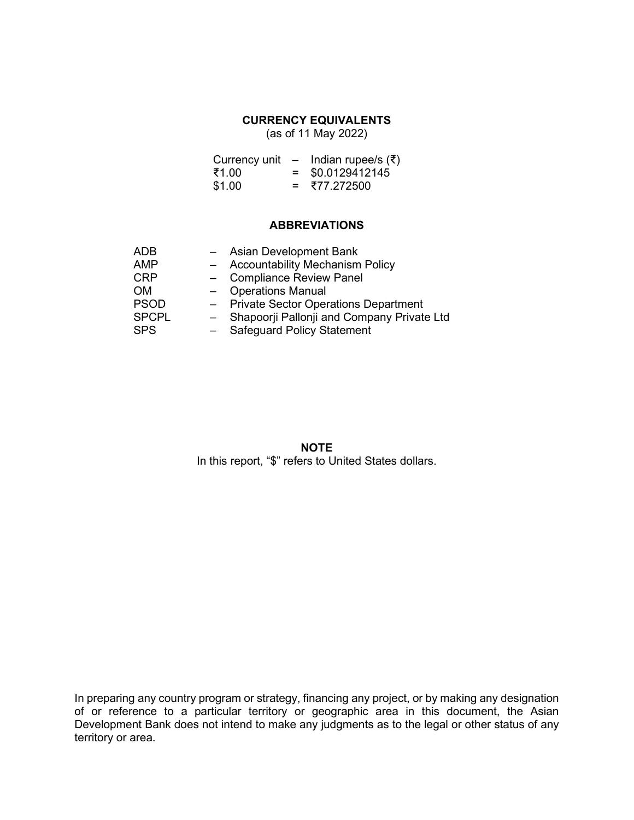# **CURRENCY EQUIVALENTS**

(as of 11 May 2022)

| Currency unit |     | – Indian rupee/s (₹) |
|---------------|-----|----------------------|
| ₹1.00         | $=$ | \$0.0129412145       |
| \$1.00        | $=$ | ₹77.272500           |

## **ABBREVIATIONS**

| <b>ADB</b>   |       | Asian Development Bank                      |
|--------------|-------|---------------------------------------------|
| <b>AMP</b>   |       | <b>Accountability Mechanism Policy</b>      |
| <b>CRP</b>   | $ \,$ | <b>Compliance Review Panel</b>              |
| <b>OM</b>    |       | <b>Operations Manual</b>                    |
| <b>PSOD</b>  | $ \,$ | <b>Private Sector Operations Department</b> |
| <b>SPCPL</b> |       | Shapoorji Pallonji and Company Private Ltd  |
| <b>SPS</b>   |       | <b>Safeguard Policy Statement</b>           |

**NOTE** In this report, "\$" refers to United States dollars.

In preparing any country program or strategy, financing any project, or by making any designation of or reference to a particular territory or geographic area in this document, the Asian Development Bank does not intend to make any judgments as to the legal or other status of any territory or area.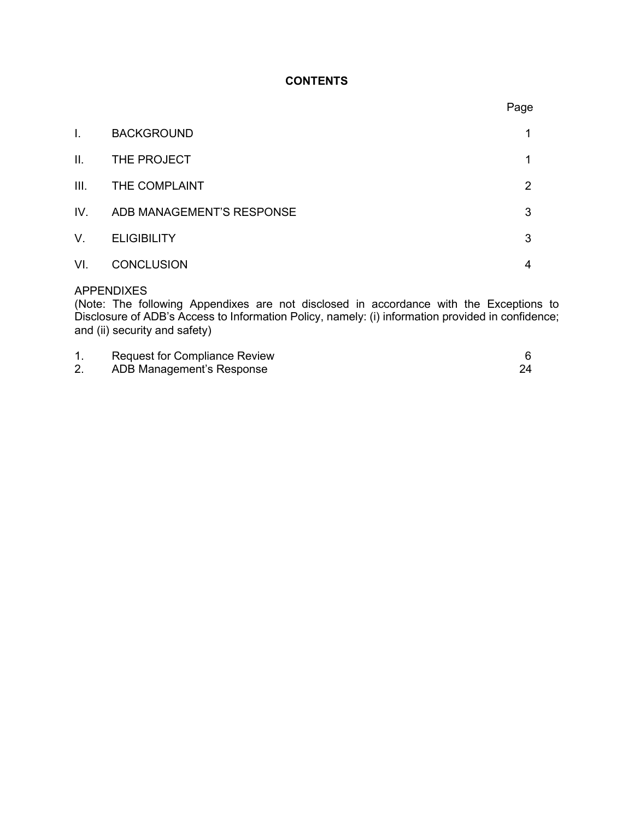# **CONTENTS**

|      |                           | Page |
|------|---------------------------|------|
| I.   | <b>BACKGROUND</b>         | 1    |
| II.  | THE PROJECT               | 1    |
| III. | THE COMPLAINT             | 2    |
| IV.  | ADB MANAGEMENT'S RESPONSE | 3    |
| V.   | <b>ELIGIBILITY</b>        | 3    |
| VI.  | <b>CONCLUSION</b>         | 4    |
|      |                           |      |

# APPENDIXES

(Note: The following Appendixes are not disclosed in accordance with the Exceptions to Disclosure of ADB's Access to Information Policy, namely: (i) information provided in confidence; and (ii) security and safety)

| <b>Request for Compliance Review</b> |  |
|--------------------------------------|--|
| ADB Management's Response            |  |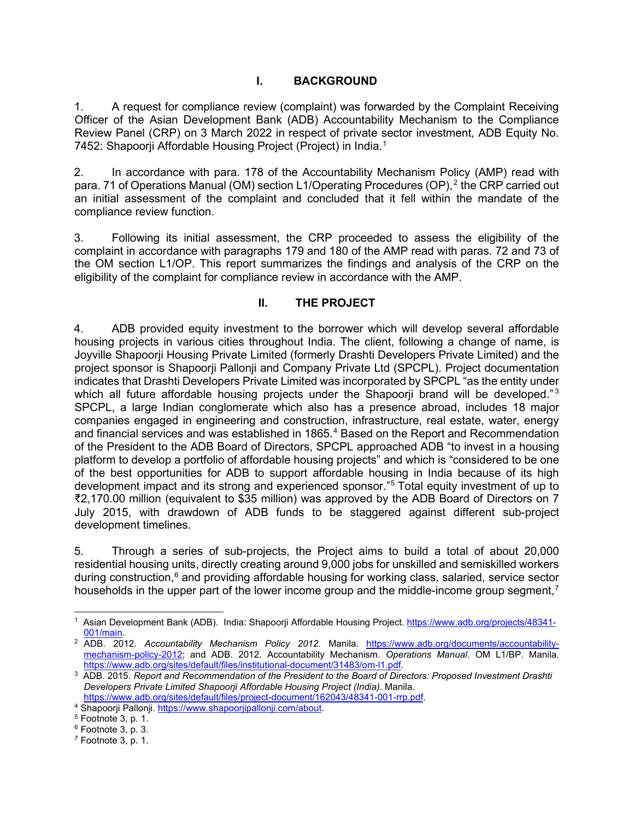## **I. BACKGROUND**

1. A request for compliance review (complaint) was forwarded by the Complaint Receiving Officer of the Asian Development Bank (ADB) Accountability Mechanism to the Compliance Review Panel (CRP) on 3 March 2022 in respect of private sector investment, ADB Equity No. 7452: Shapoorji Affordable Housing Project (Project) in India.<sup>[1](#page-3-0)</sup>

2. In accordance with para. 178 of the Accountability Mechanism Policy (AMP) read with para. 71 of Operations Manual (OM) section L1/Operating Procedures (OP), $^2$  $^2$  the CRP carried out an initial assessment of the complaint and concluded that it fell within the mandate of the compliance review function.

3. Following its initial assessment, the CRP proceeded to assess the eligibility of the complaint in accordance with paragraphs 179 and 180 of the AMP read with paras. 72 and 73 of the OM section L1/OP. This report summarizes the findings and analysis of the CRP on the eligibility of the complaint for compliance review in accordance with the AMP.

## **II. THE PROJECT**

4. ADB provided equity investment to the borrower which will develop several affordable housing projects in various cities throughout India. The client, following a change of name, is Joyville Shapoorji Housing Private Limited (formerly Drashti Developers Private Limited) and the project sponsor is Shapoorji Pallonji and Company Private Ltd (SPCPL). Project documentation indicates that Drashti Developers Private Limited was incorporated by SPCPL "as the entity under which all future affordable housing projects under the Shapoorji brand will be developed."<sup>[3](#page-3-2)</sup> SPCPL, a large Indian conglomerate which also has a presence abroad, includes 18 major companies engaged in engineering and construction, infrastructure, real estate, water, energy and financial services and was established in 1865.<sup>[4](#page-3-3)</sup> Based on the Report and Recommendation of the President to the ADB Board of Directors, SPCPL approached ADB "to invest in a housing platform to develop a portfolio of affordable housing projects" and which is "considered to be one of the best opportunities for ADB to support affordable housing in India because of its high development impact and its strong and experienced sponsor."[5](#page-3-4) Total equity investment of up to ₹2,170.00 million (equivalent to \$35 million) was approved by the ADB Board of Directors on 7 July 2015, with drawdown of ADB funds to be staggered against different sub-project development timelines.

5. Through a series of sub-projects, the Project aims to build a total of about 20,000 residential housing units, directly creating around 9,000 jobs for unskilled and semiskilled workers during construction,<sup>[6](#page-3-5)</sup> and providing affordable housing for working class, salaried, service sector households in the upper part of the lower income group and the middle-income group segment,<sup> $7$ </sup>

<span id="page-3-0"></span><sup>1</sup> Asian Development Bank (ADB). India: Shapoorji Affordable Housing Project. [https://www.adb.org/projects/48341-](https://www.adb.org/projects/48341-001/main) [001/main.](https://www.adb.org/projects/48341-001/main)

<span id="page-3-1"></span><sup>2</sup> ADB. 2012. *Accountability Mechanism Policy 2012.* Manila. [https://www.adb.org/documents/accountability](https://www.adb.org/documents/accountability-mechanism-policy-2012)[mechanism-policy-2012;](https://www.adb.org/documents/accountability-mechanism-policy-2012) and ADB. 2012. Accountability Mechanism. *Operations Manual*. OM L1/BP. Manila. [https://www.adb.org/sites/default/files/institutional-document/31483/om-l1.pdf.](https://www.adb.org/sites/default/files/institutional-document/31483/om-l1.pdf)

<span id="page-3-2"></span><sup>3</sup> ADB. 2015. *Report and Recommendation of the President to the Board of Directors: Proposed Investment Drashti Developers Private Limited Shapoorji Affordable Housing Project (India)*. Manila.

<span id="page-3-3"></span>[https://www.adb.org/sites/default/files/project-document/162043/48341-001-rrp.pdf.](https://www.adb.org/sites/default/files/project-document/162043/48341-001-rrp.pdf) 4 Shapoorji Pallonji. [https://www.shapoorjipallonji.com/about.](https://www.shapoorjipallonji.com/about)

<span id="page-3-4"></span> $5$  Footnote 3, p. 1.

<span id="page-3-6"></span><span id="page-3-5"></span> $6$  Footnote 3, p. 3.  $7$  Footnote 3, p. 1.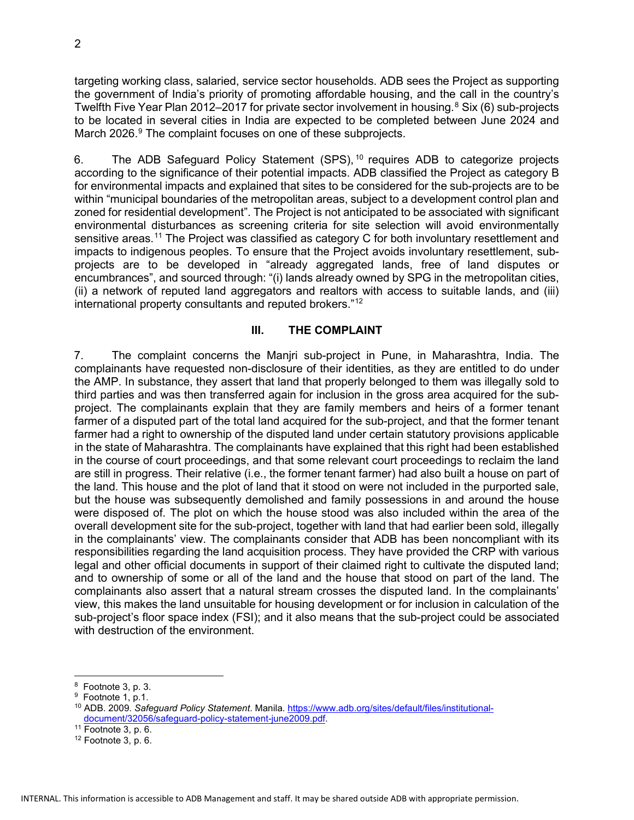targeting working class, salaried, service sector households. ADB sees the Project as supporting the government of India's priority of promoting affordable housing, and the call in the country's Twelfth Five Year Plan 2012–2017 for private sector involvement in housing.<sup>[8](#page-4-0)</sup> Six (6) sub-projects to be located in several cities in India are expected to be completed between June 2024 and March 2026.<sup>[9](#page-4-1)</sup> The complaint focuses on one of these subprojects.

6. The ADB Safeguard Policy Statement (SPS), [10](#page-4-2) requires ADB to categorize projects according to the significance of their potential impacts. ADB classified the Project as category B for environmental impacts and explained that sites to be considered for the sub-projects are to be within "municipal boundaries of the metropolitan areas, subject to a development control plan and zoned for residential development". The Project is not anticipated to be associated with significant environmental disturbances as screening criteria for site selection will avoid environmentally sensitive areas. [11](#page-4-3) The Project was classified as category C for both involuntary resettlement and impacts to indigenous peoples. To ensure that the Project avoids involuntary resettlement, subprojects are to be developed in "already aggregated lands, free of land disputes or encumbrances", and sourced through: "(i) lands already owned by SPG in the metropolitan cities, (ii) a network of reputed land aggregators and realtors with access to suitable lands, and (iii) international property consultants and reputed brokers."[12](#page-4-4)

### **III. THE COMPLAINT**

7. The complaint concerns the Manjri sub-project in Pune, in Maharashtra, India. The complainants have requested non-disclosure of their identities, as they are entitled to do under the AMP. In substance, they assert that land that properly belonged to them was illegally sold to third parties and was then transferred again for inclusion in the gross area acquired for the subproject. The complainants explain that they are family members and heirs of a former tenant farmer of a disputed part of the total land acquired for the sub-project, and that the former tenant farmer had a right to ownership of the disputed land under certain statutory provisions applicable in the state of Maharashtra. The complainants have explained that this right had been established in the course of court proceedings, and that some relevant court proceedings to reclaim the land are still in progress. Their relative (i.e., the former tenant farmer) had also built a house on part of the land. This house and the plot of land that it stood on were not included in the purported sale, but the house was subsequently demolished and family possessions in and around the house were disposed of. The plot on which the house stood was also included within the area of the overall development site for the sub-project, together with land that had earlier been sold, illegally in the complainants' view. The complainants consider that ADB has been noncompliant with its responsibilities regarding the land acquisition process. They have provided the CRP with various legal and other official documents in support of their claimed right to cultivate the disputed land; and to ownership of some or all of the land and the house that stood on part of the land. The complainants also assert that a natural stream crosses the disputed land. In the complainants' view, this makes the land unsuitable for housing development or for inclusion in calculation of the sub-project's floor space index (FSI); and it also means that the sub-project could be associated with destruction of the environment.

<span id="page-4-0"></span><sup>8</sup> Footnote 3, p. 3.

<span id="page-4-2"></span><span id="page-4-1"></span><sup>&</sup>lt;sup>9</sup> Footnote 1, p.1.

<sup>10</sup> ADB. 2009. *Safeguard Policy Statement*. Manila. [https://www.adb.org/sites/default/files/institutional](https://www.adb.org/sites/default/files/institutional-document/32056/safeguard-policy-statement-june2009.pdf)[document/32056/safeguard-policy-statement-june2009.pdf.](https://www.adb.org/sites/default/files/institutional-document/32056/safeguard-policy-statement-june2009.pdf)

<span id="page-4-3"></span><sup>11</sup> Footnote 3, p. 6.

<span id="page-4-4"></span> $12$  Footnote 3, p. 6.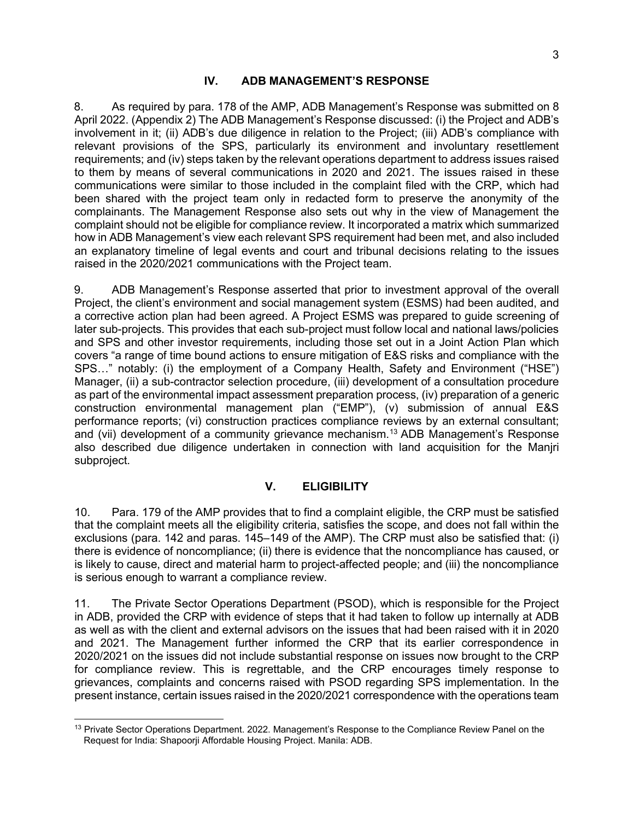### **IV. ADB MANAGEMENT'S RESPONSE**

8. As required by para. 178 of the AMP, ADB Management's Response was submitted on 8 April 2022. (Appendix 2) The ADB Management's Response discussed: (i) the Project and ADB's involvement in it; (ii) ADB's due diligence in relation to the Project; (iii) ADB's compliance with relevant provisions of the SPS, particularly its environment and involuntary resettlement requirements; and (iv) steps taken by the relevant operations department to address issues raised to them by means of several communications in 2020 and 2021. The issues raised in these communications were similar to those included in the complaint filed with the CRP, which had been shared with the project team only in redacted form to preserve the anonymity of the complainants. The Management Response also sets out why in the view of Management the complaint should not be eligible for compliance review. It incorporated a matrix which summarized how in ADB Management's view each relevant SPS requirement had been met, and also included an explanatory timeline of legal events and court and tribunal decisions relating to the issues raised in the 2020/2021 communications with the Project team.

9. ADB Management's Response asserted that prior to investment approval of the overall Project, the client's environment and social management system (ESMS) had been audited, and a corrective action plan had been agreed. A Project ESMS was prepared to guide screening of later sub-projects. This provides that each sub-project must follow local and national laws/policies and SPS and other investor requirements, including those set out in a Joint Action Plan which covers "a range of time bound actions to ensure mitigation of E&S risks and compliance with the SPS…" notably: (i) the employment of a Company Health, Safety and Environment ("HSE") Manager, (ii) a sub-contractor selection procedure, (iii) development of a consultation procedure as part of the environmental impact assessment preparation process, (iv) preparation of a generic construction environmental management plan ("EMP"), (v) submission of annual E&S performance reports; (vi) construction practices compliance reviews by an external consultant; and (vii) development of a community grievance mechanism.[13](#page-5-0) ADB Management's Response also described due diligence undertaken in connection with land acquisition for the Manjri subproject.

#### **V. ELIGIBILITY**

10. Para. 179 of the AMP provides that to find a complaint eligible, the CRP must be satisfied that the complaint meets all the eligibility criteria, satisfies the scope, and does not fall within the exclusions (para. 142 and paras. 145–149 of the AMP). The CRP must also be satisfied that: (i) there is evidence of noncompliance; (ii) there is evidence that the noncompliance has caused, or is likely to cause, direct and material harm to project-affected people; and (iii) the noncompliance is serious enough to warrant a compliance review.

11. The Private Sector Operations Department (PSOD), which is responsible for the Project in ADB, provided the CRP with evidence of steps that it had taken to follow up internally at ADB as well as with the client and external advisors on the issues that had been raised with it in 2020 and 2021. The Management further informed the CRP that its earlier correspondence in 2020/2021 on the issues did not include substantial response on issues now brought to the CRP for compliance review. This is regrettable, and the CRP encourages timely response to grievances, complaints and concerns raised with PSOD regarding SPS implementation. In the present instance, certain issues raised in the 2020/2021 correspondence with the operations team

<span id="page-5-0"></span><sup>&</sup>lt;sup>13</sup> Private Sector Operations Department. 2022. Management's Response to the Compliance Review Panel on the Request for India: Shapoorji Affordable Housing Project. Manila: ADB.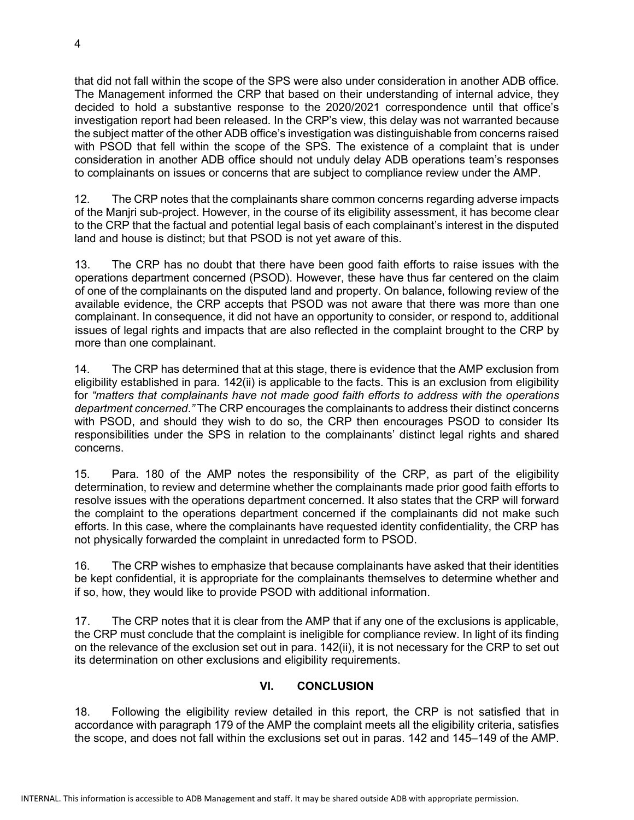that did not fall within the scope of the SPS were also under consideration in another ADB office. The Management informed the CRP that based on their understanding of internal advice, they decided to hold a substantive response to the 2020/2021 correspondence until that office's investigation report had been released. In the CRP's view, this delay was not warranted because the subject matter of the other ADB office's investigation was distinguishable from concerns raised with PSOD that fell within the scope of the SPS. The existence of a complaint that is under consideration in another ADB office should not unduly delay ADB operations team's responses to complainants on issues or concerns that are subject to compliance review under the AMP.

12. The CRP notes that the complainants share common concerns regarding adverse impacts of the Manjri sub-project. However, in the course of its eligibility assessment, it has become clear to the CRP that the factual and potential legal basis of each complainant's interest in the disputed land and house is distinct; but that PSOD is not yet aware of this.

13. The CRP has no doubt that there have been good faith efforts to raise issues with the operations department concerned (PSOD). However, these have thus far centered on the claim of one of the complainants on the disputed land and property. On balance, following review of the available evidence, the CRP accepts that PSOD was not aware that there was more than one complainant. In consequence, it did not have an opportunity to consider, or respond to, additional issues of legal rights and impacts that are also reflected in the complaint brought to the CRP by more than one complainant.

14. The CRP has determined that at this stage, there is evidence that the AMP exclusion from eligibility established in para. 142(ii) is applicable to the facts. This is an exclusion from eligibility for *"matters that complainants have not made good faith efforts to address with the operations department concerned*.*"* The CRP encourages the complainants to address their distinct concerns with PSOD, and should they wish to do so, the CRP then encourages PSOD to consider Its responsibilities under the SPS in relation to the complainants' distinct legal rights and shared concerns.

15. Para. 180 of the AMP notes the responsibility of the CRP, as part of the eligibility determination, to review and determine whether the complainants made prior good faith efforts to resolve issues with the operations department concerned. It also states that the CRP will forward the complaint to the operations department concerned if the complainants did not make such efforts. In this case, where the complainants have requested identity confidentiality, the CRP has not physically forwarded the complaint in unredacted form to PSOD.

16. The CRP wishes to emphasize that because complainants have asked that their identities be kept confidential, it is appropriate for the complainants themselves to determine whether and if so, how, they would like to provide PSOD with additional information.

17. The CRP notes that it is clear from the AMP that if any one of the exclusions is applicable, the CRP must conclude that the complaint is ineligible for compliance review. In light of its finding on the relevance of the exclusion set out in para. 142(ii), it is not necessary for the CRP to set out its determination on other exclusions and eligibility requirements.

# **VI. CONCLUSION**

18. Following the eligibility review detailed in this report, the CRP is not satisfied that in accordance with paragraph 179 of the AMP the complaint meets all the eligibility criteria, satisfies the scope, and does not fall within the exclusions set out in paras. 142 and 145–149 of the AMP.